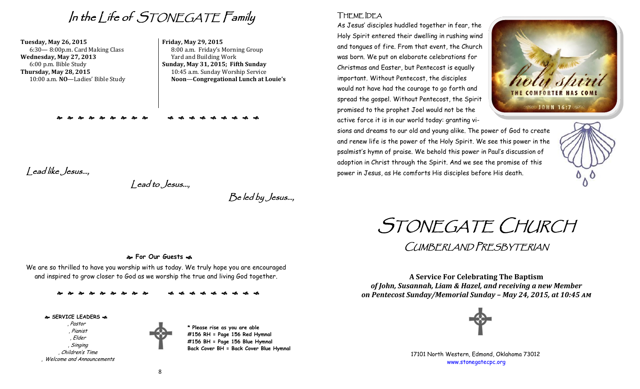In the Life of STONEGATE Family

**Tuesday, May 26, 2015** 6:30— 8:00p.m. Card Making Class **Wednesday, May 27, 2013** 6:00 p.m. Bible Study **Thursday, May 28, 2015** 10:00 a.m. **NO**—Ladies' Bible Study

#### **Friday, May 29, 2015** 8:00 a.m. Friday's Morning Group Yard and Building Work **Sunday, May 31, 2015; Fifth Sunday** 10:45 a.m. Sunday Worship Service **Noon**—**Congregational Lunch at Louie's**

Lead like Jesus…,

Lead to Jesus…,

Be led by Jesus…,

# THEME IDEA

As Jesus' disciples huddled together in fear, the Holy Spirit entered their dwelling in rushing wind and tongues of fire. From that event, the Church was born. We put on elaborate celebrations for Christmas and Easter, but Pentecost is equally important. Without Pentecost, the disciples would not have had the courage to go forth and spread the gospel. Without Pentecost, the Spirit promised to the prophet Joel would not be the active force it is in our world today: granting vi-





THE COMFORTER HAS COME

**SS JOHN 16:73** 

STONEGATE CHURCH

CUMBERLAND PRESBYTERIAN

**A Service For Celebrating The Baptism** *of John, Susannah, Liam & Hazel, and receiving a new Member on Pentecost Sunday/Memorial Sunday – May 24, 2015, at 10:45 am*



17101 North Western, Edmond, Oklahoma 73012 [www.stonegatecpc.org](http://www.stonegatecpc.org)

#### **For Our Guests**

We are so thrilled to have you worship with us today. We truly hope you are encouraged and inspired to grow closer to God as we worship the true and living God together.

 **SERVICE LEADERS**  , Pastor , Pianist , Elder , Singing , Children's Time , Welcome and Announcements



**\* Please rise as you are able #156 RH = Page 156 Red Hymnal #156 BH = Page 156 Blue Hymnal Back Cover BH = Back Cover Blue Hymnal**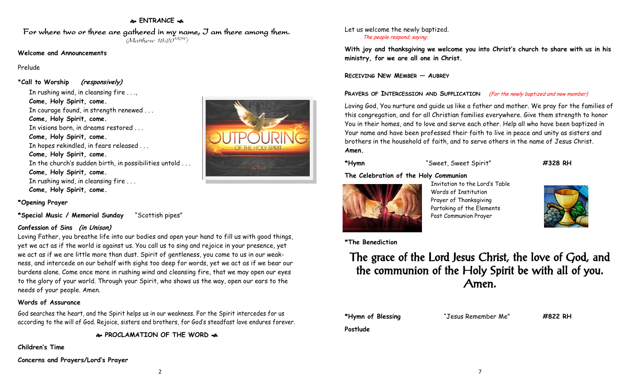### **ENTRANCE**

For where two or three are gathered in my name, I am there among them.

#### $(M$ atthew 18:20 $^{VRSV})$

#### **Welcome and Announcements**

Prelude

#### \***Call to Worship (responsively)**

In rushing wind, in cleansing fire . . ., **Come, Holy Spirit, come.**  In courage found, in strength renewed . . . **Come, Holy Spirit, come.**  In visions born, in dreams restored . . . **Come, Holy Spirit, come.**  In hopes rekindled, in fears released . . . **Come, Holy Spirit, come.**  In the church's sudden birth, in possibilities untold . . . **Come, Holy Spirit, come.**  In rushing wind, in cleansing fire . . . **Come, Holy Spirit, come.**



#### **\*Opening Prayer**

**\*Special Music / Memorial Sunday** "Scottish pipes"

#### **Confession of Sins (in Unison)**

Loving Father, you breathe life into our bodies and open your hand to fill us with good things, yet we act as if the world is against us. You call us to sing and rejoice in your presence, yet we act as if we are little more than dust. Spirit of gentleness, you come to us in our weakness, and intercede on our behalf with sighs too deep for words, yet we act as if we bear our burdens alone. Come once more in rushing wind and cleansing fire, that we may open our eyes to the glory of your world. Through your Spirit, who shows us the way, open our ears to the needs of your people. Amen.

#### **Words of Assurance**

God searches the heart, and the Spirit helps us in our weakness. For the Spirit intercedes for us according to the will of God. Rejoice, sisters and brothers, for God's steadfast love endures forever.

**PROCLAMATION OF THE WORD** 

**Children's Time**

#### **Concerns and Prayers/Lord's Prayer**

Let us welcome the newly baptized. The people respond, saying:

**With joy and thanksgiving we welcome you into Christ's church to share with us in his ministry, for we are all one in Christ.**

**RECEIVING NEW MEMBER — AUBREY**

#### **PRAYERS OF INTERCESSION AND SUPPLICATION** (For the newly baptized and new member)

Loving God, You nurture and guide us like a father and mother. We pray for the families of this congregation, and for all Christian families everywhere. Give them strength to honor You in their homes, and to love and serve each other. Help all who have been baptized in Your name and have been professed their faith to live in peace and unity as sisters and brothers in the household of faith, and to serve others in the name of Jesus Christ. **Amen.** 

**\*Hymn** "Sweet, Sweet Spirit" **#328 RH**

#### **The Celebration of the Holy Communion**



Invitation to the Lord's Table Words of Institution Prayer of Thanksgiving Partaking of the Elements Post Communion Prayer



## **\*The Benediction**

# The grace of the Lord Jesus Christ, the love of God, and the communion of the Holy Spirit be with all of you. Amen.

**\*Hymn of Blessing** "Jesus Remember Me" **#822 RH**

7

**Postlude**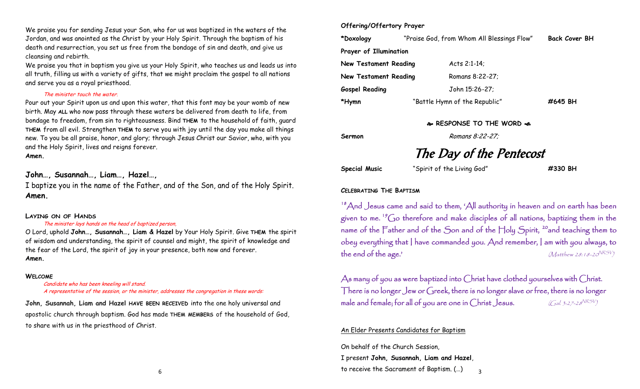We praise you for sending Jesus your Son, who for us was baptized in the waters of the Jordan, and was anointed as the Christ by your Holy Spirit. Through the baptism of his death and resurrection, you set us free from the bondage of sin and death, and give us cleansing and rebirth.

We praise you that in baptism you give us your Holy Spirit, who teaches us and leads us into all truth, filling us with a variety of gifts, that we might proclaim the gospel to all nations and serve you as a royal priesthood.

#### The minister touch the water.

Pour out your Spirit upon us and upon this water, that this font may be your womb of new birth. May **ALL** who now pass through these waters be delivered from death to life, from bondage to freedom, from sin to righteousness. Bind **THEM** to the household of faith, guard **THEM** from all evil. Strengthen **THEM** to serve you with joy until the day you make all things new. To you be all praise, honor, and glory; through Jesus Christ our Savior, who, with you and the Holy Spirit, lives and reigns forever.

#### **Amen.**

# **John…, Susannah…, Liam…, Hazel…,**

I baptize you in the name of the Father, and of the Son, and of the Holy Spirit. **Amen.** 

#### **LAYING ON OF HANDS**

#### The minister lays hands on the head of baptized person,

O Lord, uphold **John…, Susannah…, Liam & Hazel** by Your Holy Spirit. Give **THEM** the spirit of wisdom and understanding, the spirit of counsel and might, the spirit of knowledge and the fear of the Lord, the spirit of joy in your presence, both now and forever. **Amen.** 

#### **WELCOME**

Candidate who has been kneeling will stand. A representative of the session, or the minister, addresses the congregation in these words:

**John, Susannah, Liam and Hazel HAVE BEEN RECEIVED** into the one holy universal and apostolic church through baptism. God has made **THEM MEMBERS** of the household of God, to share with us in the priesthood of Christ.

#### **Offering/Offertory Prayer**

| *Doxology              | "Praise God, from Whom All Blessings Flow" | <b>Back Cover BH</b> |
|------------------------|--------------------------------------------|----------------------|
| Prayer of Illumination |                                            |                      |
| New Testament Reading  | Acts 2:1-14:                               |                      |
| New Testament Reading  | Romans 8:22-27;                            |                      |
| <b>Gospel Reading</b>  | John 15:26-27;                             |                      |
| *Hymn                  | "Battle Hymn of the Republic"              | #645 BH              |

#### **RESPONSE TO THE WORD**

**Sermon** Romans 8:22-27;

# The Day of the Pentecost

**Special Music** "Spirit of the Living God" **#330 BH**

#### **CELEBRATING THE BAPTISM**

<sup>18</sup>And Jesus came and said to them, 'All authority in heaven and on earth has been given to me.  $\mathrm{^{19}Go}$  therefore and make disciples of all nations, baptizing them in the name of the Father and of the Son and of the Holy Spirit, <sup>20</sup>and teaching them to obey everything that I have commanded you. And remember, I am with you always, to the end of the age.' NRSV<sub>)</sub>

As many of you as were baptized into Christ have clothed yourselves with Christ. There is no longer Jew or Greek, there is no longer slave or free, there is no longer male and female; for all of you are one in Christ Jesus. NRSV )

#### An Elder Presents Candidates for Baptism

On behalf of the Church Session, I present **John, Susannah, Liam and Hazel**, to receive the Sacrament of Baptism. (…)

6

3